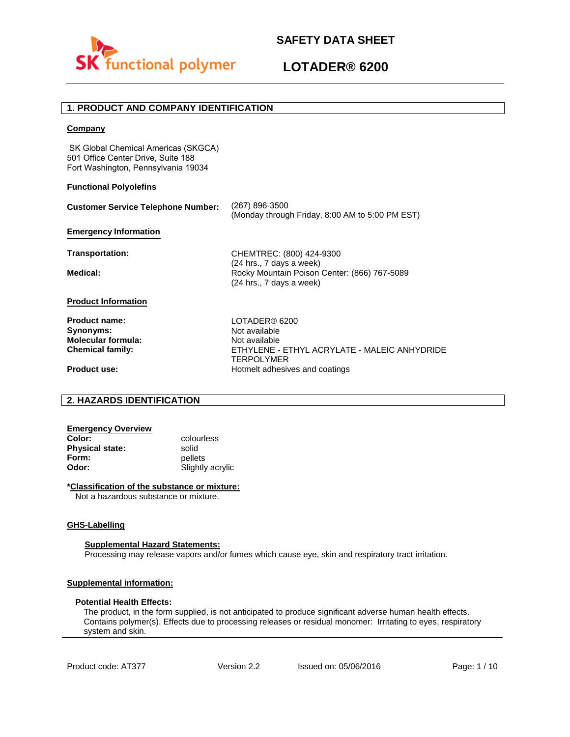

# **LOTADER® 6200**

## **1. PRODUCT AND COMPANY IDENTIFICATION**

#### **Company**

 SK Global Chemical Americas (SKGCA) 501 Office Center Drive, Suite 188 Fort Washington, Pennsylvania 19034

#### **Functional Polyolefins**

| <b>Customer Service Telephone Number:</b> | (267) 896-3500<br>(Monday through Friday, 8:00 AM to 5:00 PM EST)        |
|-------------------------------------------|--------------------------------------------------------------------------|
| <b>Emergency Information</b>              |                                                                          |
| Transportation:                           | CHEMTREC: (800) 424-9300<br>(24 hrs., 7 days a week)                     |
| Medical:                                  | Rocky Mountain Poison Center: (866) 767-5089<br>(24 hrs., 7 days a week) |
| <b>Product Information</b>                |                                                                          |
| <b>Product name:</b>                      | LOTADER® 6200                                                            |
| Synonyms:                                 | Not available                                                            |
| Molecular formula:                        | Not available                                                            |
| <b>Chemical family:</b>                   | ETHYLENE - ETHYL ACRYLATE - MALEIC ANHYDRIDE<br><b>TERPOLYMER</b>        |
| <b>Product use:</b>                       | Hotmelt adhesives and coatings                                           |

### **2. HAZARDS IDENTIFICATION**

| <b>Emergency Overview</b> |                  |
|---------------------------|------------------|
| Color:                    | colourless       |
| <b>Physical state:</b>    | solid            |
| Form:                     | pellets          |
| Odor:                     | Slightly acrylic |

#### **\*Classification of the substance or mixture:**

Not a hazardous substance or mixture.

#### **GHS-Labelling**

#### **Supplemental Hazard Statements:**

Processing may release vapors and/or fumes which cause eye, skin and respiratory tract irritation.

#### **Supplemental information:**

#### **Potential Health Effects:**

The product, in the form supplied, is not anticipated to produce significant adverse human health effects. Contains polymer(s). Effects due to processing releases or residual monomer: Irritating to eyes, respiratory system and skin.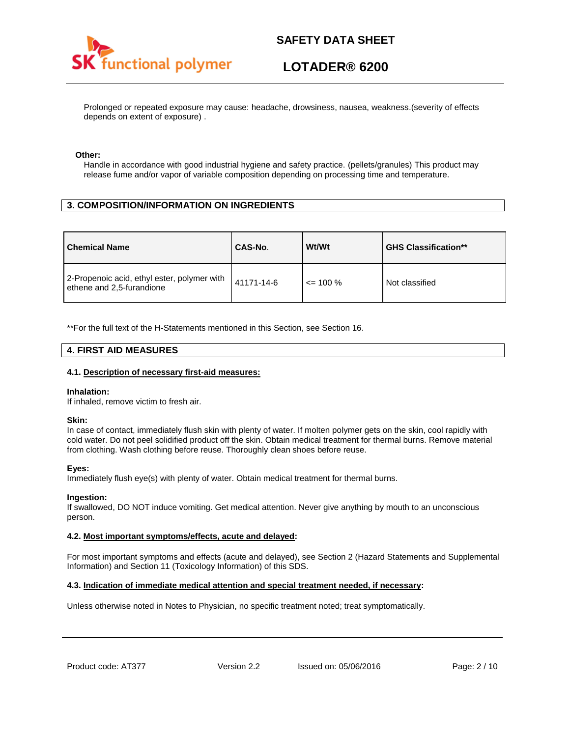

# **LOTADER® 6200**

Prolonged or repeated exposure may cause: headache, drowsiness, nausea, weakness.(severity of effects depends on extent of exposure) .

#### **Other:**

Handle in accordance with good industrial hygiene and safety practice. (pellets/granules) This product may release fume and/or vapor of variable composition depending on processing time and temperature.

### **3. COMPOSITION/INFORMATION ON INGREDIENTS**

| <b>Chemical Name</b>                                                     | CAS-No.    | Wt/Wt        | <b>GHS Classification**</b> |
|--------------------------------------------------------------------------|------------|--------------|-----------------------------|
| 2-Propenoic acid, ethyl ester, polymer with<br>ethene and 2,5-furandione | 41171-14-6 | $\leq$ 100 % | Not classified              |

\*\*For the full text of the H-Statements mentioned in this Section, see Section 16.

### **4. FIRST AID MEASURES**

#### **4.1. Description of necessary first-aid measures:**

#### **Inhalation:**

If inhaled, remove victim to fresh air.

#### **Skin:**

In case of contact, immediately flush skin with plenty of water. If molten polymer gets on the skin, cool rapidly with cold water. Do not peel solidified product off the skin. Obtain medical treatment for thermal burns. Remove material from clothing. Wash clothing before reuse. Thoroughly clean shoes before reuse.

#### **Eyes:**

Immediately flush eye(s) with plenty of water. Obtain medical treatment for thermal burns.

#### **Ingestion:**

If swallowed, DO NOT induce vomiting. Get medical attention. Never give anything by mouth to an unconscious person.

#### **4.2. Most important symptoms/effects, acute and delayed:**

For most important symptoms and effects (acute and delayed), see Section 2 (Hazard Statements and Supplemental Information) and Section 11 (Toxicology Information) of this SDS.

#### **4.3. Indication of immediate medical attention and special treatment needed, if necessary:**

Unless otherwise noted in Notes to Physician, no specific treatment noted; treat symptomatically.

Product code: AT377 Version 2.2 Issued on: 05/06/2016 Page: 2/10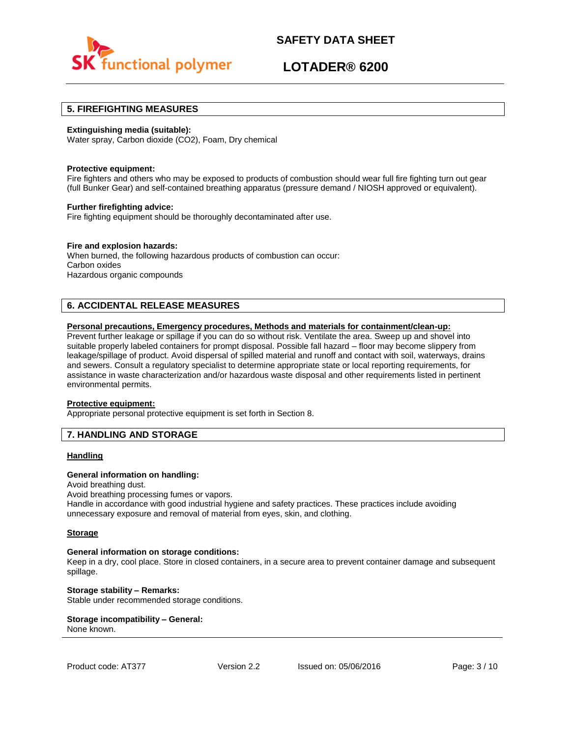

# **LOTADER® 6200**

### **5. FIREFIGHTING MEASURES**

#### **Extinguishing media (suitable):**

Water spray, Carbon dioxide (CO2), Foam, Dry chemical

#### **Protective equipment:**

Fire fighters and others who may be exposed to products of combustion should wear full fire fighting turn out gear (full Bunker Gear) and self-contained breathing apparatus (pressure demand / NIOSH approved or equivalent).

#### **Further firefighting advice:**

Fire fighting equipment should be thoroughly decontaminated after use.

#### **Fire and explosion hazards:**

When burned, the following hazardous products of combustion can occur: Carbon oxides Hazardous organic compounds

## **6. ACCIDENTAL RELEASE MEASURES**

#### **Personal precautions, Emergency procedures, Methods and materials for containment/clean-up:**

Prevent further leakage or spillage if you can do so without risk. Ventilate the area. Sweep up and shovel into suitable properly labeled containers for prompt disposal. Possible fall hazard – floor may become slippery from leakage/spillage of product. Avoid dispersal of spilled material and runoff and contact with soil, waterways, drains and sewers. Consult a regulatory specialist to determine appropriate state or local reporting requirements, for assistance in waste characterization and/or hazardous waste disposal and other requirements listed in pertinent environmental permits.

#### **Protective equipment:**

Appropriate personal protective equipment is set forth in Section 8.

### **7. HANDLING AND STORAGE**

#### **Handling**

#### **General information on handling:**

Avoid breathing dust.

Avoid breathing processing fumes or vapors.

Handle in accordance with good industrial hygiene and safety practices. These practices include avoiding unnecessary exposure and removal of material from eyes, skin, and clothing.

#### **Storage**

#### **General information on storage conditions:**

Keep in a dry, cool place. Store in closed containers, in a secure area to prevent container damage and subsequent spillage.

**Storage stability – Remarks:**  Stable under recommended storage conditions.

#### **Storage incompatibility – General:**  None known.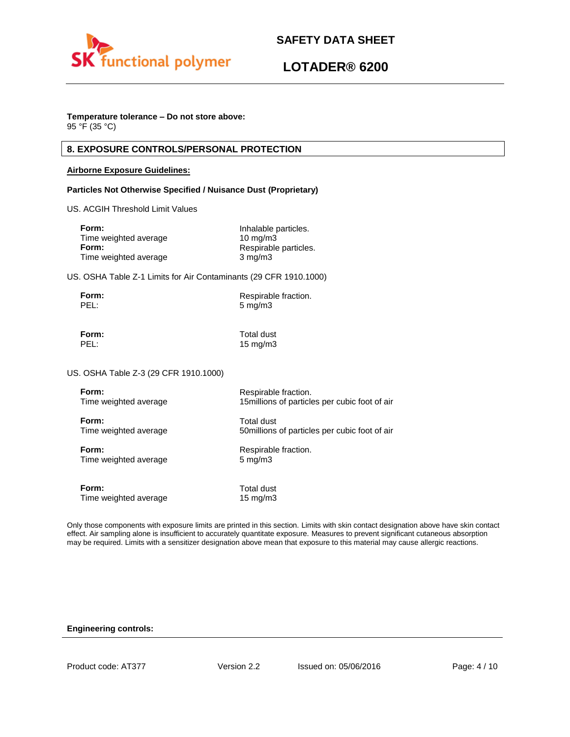

# **LOTADER® 6200**

## **Temperature tolerance – Do not store above:**

95 °F (35 °C)

## **8. EXPOSURE CONTROLS/PERSONAL PROTECTION**

#### **Airborne Exposure Guidelines:**

#### **Particles Not Otherwise Specified / Nuisance Dust (Proprietary)**

US. ACGIH Threshold Limit Values

| Inhalable particles.  |
|-----------------------|
| $10 \text{ mg/m}$     |
| Respirable particles. |
| $3 \text{ mg/m}$      |
|                       |

US. OSHA Table Z-1 Limits for Air Contaminants (29 CFR 1910.1000)

| Form: | Respirable fraction. |
|-------|----------------------|
| PEL:  | $5 \text{ mg/m}$     |

**Form:** Total dust PEL: 15 mg/m3

US. OSHA Table Z-3 (29 CFR 1910.1000)

| Form:                 | Respirable fraction.                           |
|-----------------------|------------------------------------------------|
| Time weighted average | 15 millions of particles per cubic foot of air |
| Form:                 | Total dust                                     |
| Time weighted average | 50 millions of particles per cubic foot of air |
| Form:                 | Respirable fraction.                           |
| Time weighted average | $5 \text{ mg/m}$                               |
| Form:                 | Total dust                                     |
| Time weighted average | $15 \text{ mg/m}$                              |

Only those components with exposure limits are printed in this section. Limits with skin contact designation above have skin contact effect. Air sampling alone is insufficient to accurately quantitate exposure. Measures to prevent significant cutaneous absorption may be required. Limits with a sensitizer designation above mean that exposure to this material may cause allergic reactions.

#### **Engineering controls:**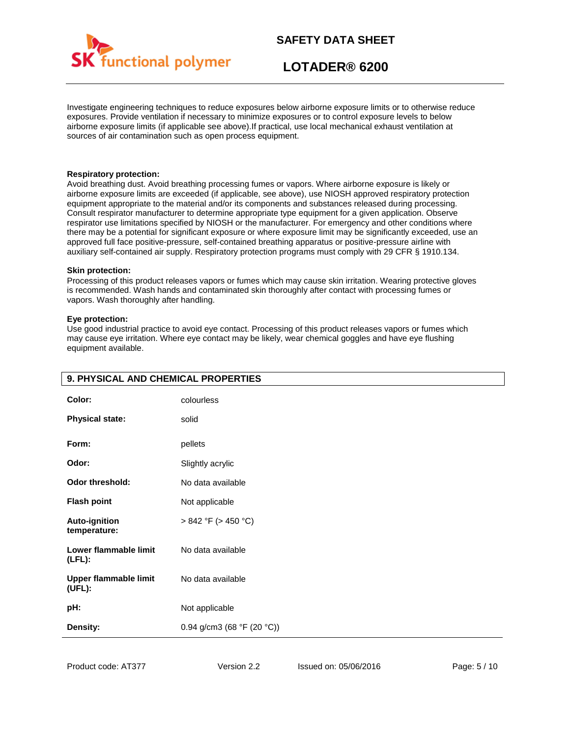

# **LOTADER® 6200**

Investigate engineering techniques to reduce exposures below airborne exposure limits or to otherwise reduce exposures. Provide ventilation if necessary to minimize exposures or to control exposure levels to below airborne exposure limits (if applicable see above).If practical, use local mechanical exhaust ventilation at sources of air contamination such as open process equipment.

#### **Respiratory protection:**

Avoid breathing dust. Avoid breathing processing fumes or vapors. Where airborne exposure is likely or airborne exposure limits are exceeded (if applicable, see above), use NIOSH approved respiratory protection equipment appropriate to the material and/or its components and substances released during processing. Consult respirator manufacturer to determine appropriate type equipment for a given application. Observe respirator use limitations specified by NIOSH or the manufacturer. For emergency and other conditions where there may be a potential for significant exposure or where exposure limit may be significantly exceeded, use an approved full face positive-pressure, self-contained breathing apparatus or positive-pressure airline with auxiliary self-contained air supply. Respiratory protection programs must comply with 29 CFR § 1910.134.

#### **Skin protection:**

Processing of this product releases vapors or fumes which may cause skin irritation. Wearing protective gloves is recommended. Wash hands and contaminated skin thoroughly after contact with processing fumes or vapors. Wash thoroughly after handling.

#### **Eye protection:**

Use good industrial practice to avoid eye contact. Processing of this product releases vapors or fumes which may cause eye irritation. Where eye contact may be likely, wear chemical goggles and have eye flushing equipment available.

| Color:                                 | colourless                 |
|----------------------------------------|----------------------------|
| <b>Physical state:</b>                 | solid                      |
| Form:                                  | pellets                    |
| Odor:                                  | Slightly acrylic           |
| <b>Odor threshold:</b>                 | No data available          |
| <b>Flash point</b>                     | Not applicable             |
| Auto-ignition<br>temperature:          | $> 842$ °F ( $> 450$ °C)   |
| Lower flammable limit<br>$(LFL)$ :     | No data available          |
| <b>Upper flammable limit</b><br>(UFL): | No data available          |
| pH:                                    | Not applicable             |
| Density:                               | 0.94 g/cm3 (68 °F (20 °C)) |

### **9. PHYSICAL AND CHEMICAL PROPERTIES**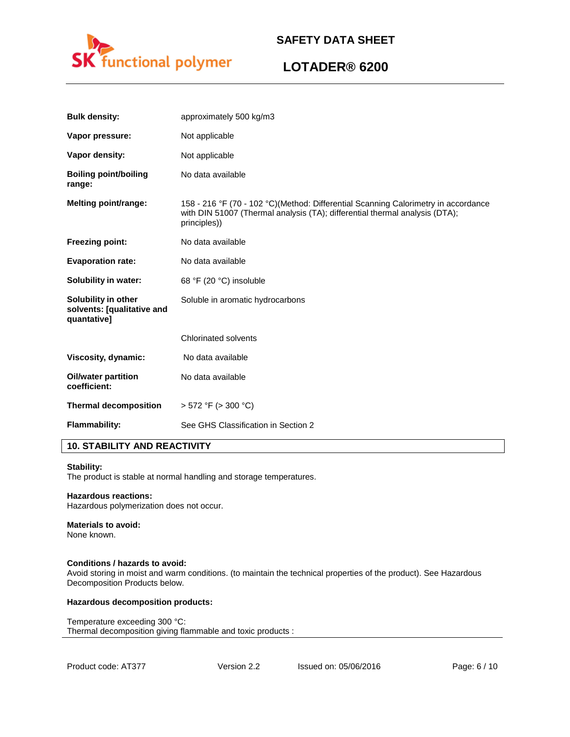

## **LOTADER® 6200**

| <b>Bulk density:</b>                                             | approximately 500 kg/m3                                                                                                                                                           |  |
|------------------------------------------------------------------|-----------------------------------------------------------------------------------------------------------------------------------------------------------------------------------|--|
| Vapor pressure:                                                  | Not applicable                                                                                                                                                                    |  |
| Vapor density:                                                   | Not applicable                                                                                                                                                                    |  |
| <b>Boiling point/boiling</b><br>range:                           | No data available                                                                                                                                                                 |  |
| <b>Melting point/range:</b>                                      | 158 - 216 °F (70 - 102 °C)(Method: Differential Scanning Calorimetry in accordance<br>with DIN 51007 (Thermal analysis (TA); differential thermal analysis (DTA);<br>principles)) |  |
| <b>Freezing point:</b>                                           | No data available                                                                                                                                                                 |  |
| <b>Evaporation rate:</b>                                         | No data available                                                                                                                                                                 |  |
| <b>Solubility in water:</b>                                      | 68 °F (20 °C) insoluble                                                                                                                                                           |  |
| Solubility in other<br>solvents: [qualitative and<br>quantative] | Soluble in aromatic hydrocarbons                                                                                                                                                  |  |
|                                                                  | <b>Chlorinated solvents</b>                                                                                                                                                       |  |
| Viscosity, dynamic:                                              | No data available                                                                                                                                                                 |  |
| <b>Oil/water partition</b><br>coefficient:                       | No data available                                                                                                                                                                 |  |
| <b>Thermal decomposition</b>                                     | $> 572$ °F ( $> 300$ °C)                                                                                                                                                          |  |
| <b>Flammability:</b>                                             | See GHS Classification in Section 2                                                                                                                                               |  |

## **10. STABILITY AND REACTIVITY**

#### **Stability:**

The product is stable at normal handling and storage temperatures.

#### **Hazardous reactions:**

Hazardous polymerization does not occur.

## **Materials to avoid:**

None known.

#### **Conditions / hazards to avoid:**

Avoid storing in moist and warm conditions. (to maintain the technical properties of the product). See Hazardous Decomposition Products below.

#### **Hazardous decomposition products:**

Temperature exceeding 300 °C: Thermal decomposition giving flammable and toxic products :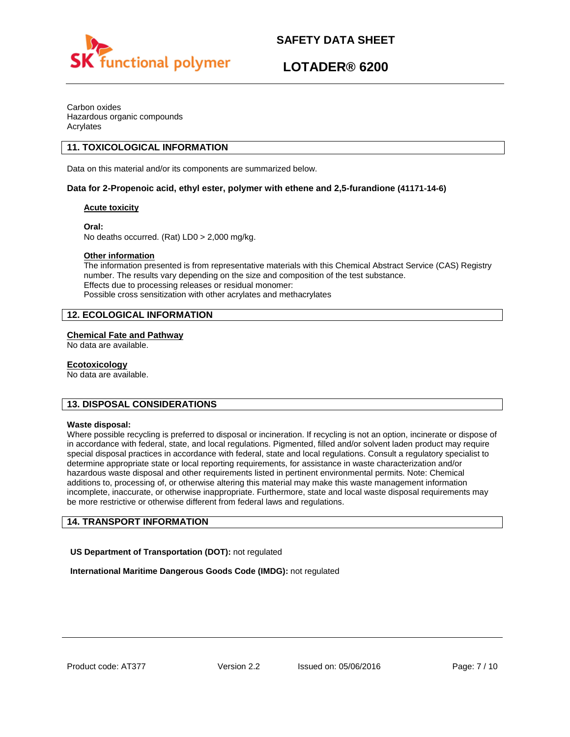

## **LOTADER® 6200**

Carbon oxides Hazardous organic compounds Acrylates

## **11. TOXICOLOGICAL INFORMATION**

Data on this material and/or its components are summarized below.

### **Data for 2-Propenoic acid, ethyl ester, polymer with ethene and 2,5-furandione (41171-14-6)**

#### **Acute toxicity**

**Oral:**

No deaths occurred. (Rat) LD0 > 2,000 mg/kg.

### **Other information**

The information presented is from representative materials with this Chemical Abstract Service (CAS) Registry number. The results vary depending on the size and composition of the test substance. Effects due to processing releases or residual monomer: Possible cross sensitization with other acrylates and methacrylates

### **12. ECOLOGICAL INFORMATION**

#### **Chemical Fate and Pathway**

No data are available.

### **Ecotoxicology**

No data are available.

## **13. DISPOSAL CONSIDERATIONS**

#### **Waste disposal:**

Where possible recycling is preferred to disposal or incineration. If recycling is not an option, incinerate or dispose of in accordance with federal, state, and local regulations. Pigmented, filled and/or solvent laden product may require special disposal practices in accordance with federal, state and local regulations. Consult a regulatory specialist to determine appropriate state or local reporting requirements, for assistance in waste characterization and/or hazardous waste disposal and other requirements listed in pertinent environmental permits. Note: Chemical additions to, processing of, or otherwise altering this material may make this waste management information incomplete, inaccurate, or otherwise inappropriate. Furthermore, state and local waste disposal requirements may be more restrictive or otherwise different from federal laws and regulations.

## **14. TRANSPORT INFORMATION**

**US Department of Transportation (DOT):** not regulated

**International Maritime Dangerous Goods Code (IMDG):** not regulated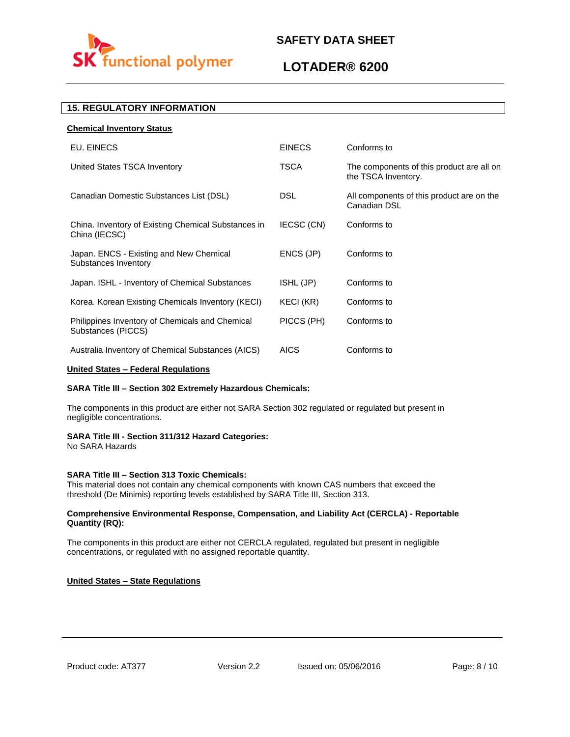

## **LOTADER® 6200**

## **15. REGULATORY INFORMATION**

| <b>Chemical Inventory Status</b>                                      |                  |                                                                  |
|-----------------------------------------------------------------------|------------------|------------------------------------------------------------------|
| EU. EINECS                                                            | <b>EINECS</b>    | Conforms to                                                      |
| United States TSCA Inventory                                          | <b>TSCA</b>      | The components of this product are all on<br>the TSCA Inventory. |
| Canadian Domestic Substances List (DSL)                               | <b>DSL</b>       | All components of this product are on the<br>Canadian DSL        |
| China. Inventory of Existing Chemical Substances in<br>China (IECSC)  | IECSC (CN)       | Conforms to                                                      |
| Japan. ENCS - Existing and New Chemical<br>Substances Inventory       | ENCS (JP)        | Conforms to                                                      |
| Japan. ISHL - Inventory of Chemical Substances                        | ISHL (JP)        | Conforms to                                                      |
| Korea. Korean Existing Chemicals Inventory (KECI)                     | <b>KECI (KR)</b> | Conforms to                                                      |
| Philippines Inventory of Chemicals and Chemical<br>Substances (PICCS) | PICCS (PH)       | Conforms to                                                      |
| Australia Inventory of Chemical Substances (AICS)                     | <b>AICS</b>      | Conforms to                                                      |

### **United States – Federal Regulations**

#### **SARA Title III – Section 302 Extremely Hazardous Chemicals:**

The components in this product are either not SARA Section 302 regulated or regulated but present in negligible concentrations.

#### **SARA Title III - Section 311/312 Hazard Categories:**

No SARA Hazards

#### **SARA Title III – Section 313 Toxic Chemicals:**

This material does not contain any chemical components with known CAS numbers that exceed the threshold (De Minimis) reporting levels established by SARA Title III, Section 313.

#### **Comprehensive Environmental Response, Compensation, and Liability Act (CERCLA) - Reportable Quantity (RQ):**

The components in this product are either not CERCLA regulated, regulated but present in negligible concentrations, or regulated with no assigned reportable quantity.

#### **United States – State Regulations**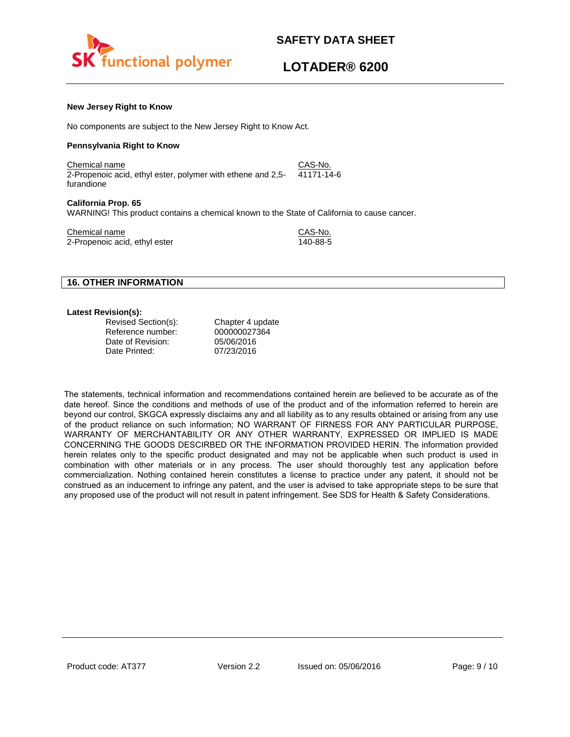

# **LOTADER® 6200**

#### **New Jersey Right to Know**

No components are subject to the New Jersey Right to Know Act.

#### **Pennsylvania Right to Know**

Chemical name CAS-No. 2-Propenoic acid, ethyl ester, polymer with ethene and 2,5 furandione 41171-14-6

#### **California Prop. 65**

WARNING! This product contains a chemical known to the State of California to cause cancer.

Chemical name<br>
2-Propenoic acid. ethyl ester<br>
2-Propenoic acid. ethyl ester 2-Propenoic acid, ethyl ester

#### **16. OTHER INFORMATION**

#### **Latest Revision(s):**

| Revised Section(s): |
|---------------------|
| Reference number:   |
| Date of Revision:   |
| Date Printed:       |

Chapter 4 update 000000027364 05/06/2016 07/23/2016

The statements, technical information and recommendations contained herein are believed to be accurate as of the date hereof. Since the conditions and methods of use of the product and of the information referred to herein are beyond our control, SKGCA expressly disclaims any and all liability as to any results obtained or arising from any use of the product reliance on such information; NO WARRANT OF FIRNESS FOR ANY PARTICULAR PURPOSE, WARRANTY OF MERCHANTABILITY OR ANY OTHER WARRANTY, EXPRESSED OR IMPLIED IS MADE CONCERNING THE GOODS DESCIRBED OR THE INFORMATION PROVIDED HERIN. The information provided herein relates only to the specific product designated and may not be applicable when such product is used in combination with other materials or in any process. The user should thoroughly test any application before commercialization. Nothing contained herein constitutes a license to practice under any patent, it should not be construed as an inducement to infringe any patent, and the user is advised to take appropriate steps to be sure that any proposed use of the product will not result in patent infringement. See SDS for Health & Safety Considerations.